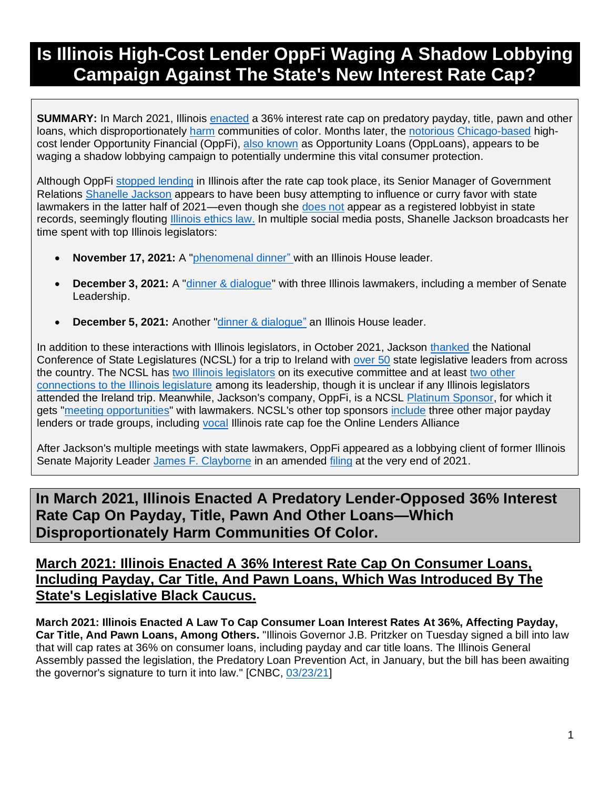# **Is Illinois High-Cost Lender OppFi Waging A Shadow Lobbying Campaign Against The State's New Interest Rate Cap?**

**SUMMARY:** In March 2021, Illinois [enacted](https://www.cnbc.com/2021/03/23/illinois-governor-signs-off-on-law-capping-consumer-loan-rates-at-36percent.html) a 36% interest rate cap on predatory payday, title, pawn and other loans, which disproportionately [harm](https://www.responsiblelending.org/sites/default/files/nodes/files/research-publication/crl-payday-cartitle-comm-of-color-nov2020.pdf) communities of color. Months later, the [notorious](https://www.wsj.com/articles/rent-a-banks-defy-states-growing-efforts-to-curb-high-cost-lending-11583435510) [Chicago-based](https://www.linkedin.com/company/oppfi/) highcost lender Opportunity Financial (OppFi), [also known](https://www.wsj.com/articles/rent-a-banks-defy-states-growing-efforts-to-curb-high-cost-lending-11583435510) as Opportunity Loans (OppLoans), appears to be waging a shadow lobbying campaign to potentially undermine this vital consumer protection.

Although OppFi [stopped lending](https://woodstockinst.org/news/press-release/whos-been-naughty-nice-in-2021/?utm_source=rss&utm_medium=rss&utm_campaign=whos-been-naughty-nice-in-2021) in Illinois after the rate cap took place, its Senior Manager of Government Relations [Shanelle Jackson](https://www.linkedin.com/in/shanelle-jackson-leadership/) appears to have been busy attempting to influence or curry favor with state lawmakers in the latter half of 2021—even though she [does not](https://apps.ilsos.gov/lobbyistsearch/lobbyistsearch) appear as a registered lobbyist in state records, seemingly flouting [Illinois ethics law.](https://bolderadvocacy.org/wp-content/uploads/2018/06/Illinois-Lobbying-Disclosure.pdf) In multiple social media posts, Shanelle Jackson broadcasts her time spent with top Illinois legislators:

- **November 17, 2021:** A ["phenomenal dinner"](https://www.facebook.com/shanellejackson/posts/327970909138293) with an Illinois House leader.
- **December 3, 2021:** A "*dinner & dialogue*" with three Illinois lawmakers, including a member of Senate Leadership.
- **December 5, 2021:** Another ["dinner & dialogue"](https://www.facebook.com/shanellejackson/posts/338604978074886) an Illinois House leader.

In addition to these interactions with Illinois legislators, in October 2021, Jackson [thanked](https://www.instagram.com/p/CVEgaQrgdsc/) the National Conference of State Legislatures (NCSL) for a trip to Ireland with [over 50](https://www.ncsl.org/Documents/2021_Summit_Resources/2021-Summit-Agenda-Book.pdf) state legislative leaders from across the country. The NCSL ha[s two Illinois legislators](https://www.ncsl.org/aboutus/executive-committee/members.aspx) on its executive committee and at least [two other](https://www.ncsl.org/aboutus/executive-committee/members.aspx)  [connections to the Illinois legislature](https://www.ncsl.org/aboutus/executive-committee/members.aspx) among its leadership, though it is unclear if any Illinois legislators attended the Ireland trip. Meanwhile, Jackson's company, OppFi, is a NCSL [Platinum Sponsor,](https://www.ncsl.org/aboutus/ncsl-foundation-for-state-legislatures/sponsor-list.aspx) for which it gets ["meeting opportunities"](https://www.ncsl.org/Portals/1/Documents/Foundation/Platinum_Benefits_NCSL_Foundation_30000.pdf) with lawmakers. NCSL's other top sponsors [include](https://www.ncsl.org/aboutus/ncsl-foundation-for-state-legislatures/sponsor-list.aspx) three other major payday lenders or trade groups, including [vocal](https://www.cnbc.com/2021/03/23/illinois-governor-signs-off-on-law-capping-consumer-loan-rates-at-36percent.html) Illinois rate cap foe the Online Lenders Alliance

After Jackson's multiple meetings with state lawmakers, OppFi appeared as a lobbying client of former Illinois Senate Majority Leader [James F. Clayborne](https://www.cswlawllp.com/james-f-clayborne-jr/) in an amended [filing](https://apps.ilsos.gov/lobbyistsearch/registrationpdf?procID=REG&transType=AMENDED&year=2021&entityID=8687&webDataXmlId=92436) at the very end of 2021.

## **In March 2021, Illinois Enacted A Predatory Lender-Opposed 36% Interest Rate Cap On Payday, Title, Pawn And Other Loans—Which Disproportionately Harm Communities Of Color.**

## **March 2021: Illinois Enacted A 36% Interest Rate Cap On Consumer Loans, Including Payday, Car Title, And Pawn Loans, Which Was Introduced By The State's Legislative Black Caucus.**

**March 2021: Illinois Enacted A Law To Cap Consumer Loan Interest Rates At 36%, Affecting Payday, Car Title, And Pawn Loans, Among Others.** "Illinois Governor J.B. Pritzker on Tuesday signed a bill into law that will cap rates at 36% on consumer loans, including payday and car title loans. The Illinois General Assembly passed the legislation, the Predatory Loan Prevention Act, in January, but the bill has been awaiting the governor's signature to turn it into law." [CNBC, [03/23/21\]](https://www.cnbc.com/2021/03/23/illinois-governor-signs-off-on-law-capping-consumer-loan-rates-at-36percent.html)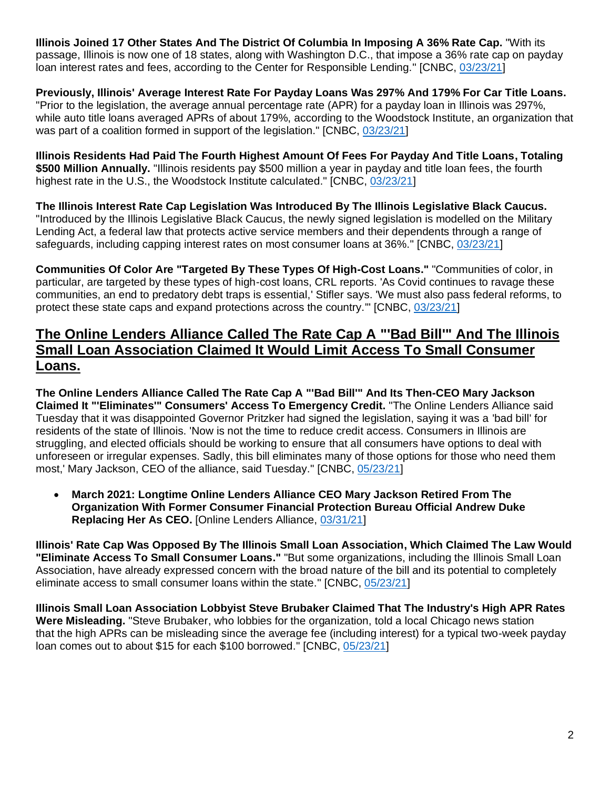**Illinois Joined 17 Other States And The District Of Columbia In Imposing A 36% Rate Cap.** "With its passage, Illinois is now one of 18 states, along with Washington D.C., that impose a 36% rate cap on payday loan interest rates and fees, according to the Center for Responsible Lending." [CNBC, [03/23/21\]](https://www.cnbc.com/2021/03/23/illinois-governor-signs-off-on-law-capping-consumer-loan-rates-at-36percent.html)

**Previously, Illinois' Average Interest Rate For Payday Loans Was 297% And 179% For Car Title Loans.**  "Prior to the legislation, the average annual percentage rate (APR) for a payday loan in Illinois was 297%, while auto title loans averaged APRs of about 179%, according to the Woodstock Institute, an organization that was part of a coalition formed in support of the legislation." [CNBC, [03/23/21\]](https://www.cnbc.com/2021/03/23/illinois-governor-signs-off-on-law-capping-consumer-loan-rates-at-36percent.html)

**Illinois Residents Had Paid The Fourth Highest Amount Of Fees For Payday And Title Loans, Totaling \$500 Million Annually.** "Illinois residents pay \$500 million a year in payday and title loan fees, the fourth highest rate in the U.S., the Woodstock Institute calculated." [CNBC, [03/23/21\]](https://www.cnbc.com/2021/03/23/illinois-governor-signs-off-on-law-capping-consumer-loan-rates-at-36percent.html)

**The Illinois Interest Rate Cap Legislation Was Introduced By The Illinois Legislative Black Caucus.**  "Introduced by the Illinois Legislative Black Caucus, the newly signed legislation is modelled on the Military Lending Act, a federal law that protects active service members and their dependents through a range of safeguards, including capping interest rates on most consumer loans at 36%." [CNBC, [03/23/21\]](https://www.cnbc.com/2021/03/23/illinois-governor-signs-off-on-law-capping-consumer-loan-rates-at-36percent.html)

**Communities Of Color Are "Targeted By These Types Of High-Cost Loans."** "Communities of color, in particular, are targeted by these types of high-cost loans, CRL reports. 'As Covid continues to ravage these communities, an end to predatory debt traps is essential,' Stifler says. 'We must also pass federal reforms, to protect these state caps and expand protections across the country.'" [CNBC, [03/23/21\]](https://www.cnbc.com/2021/03/23/illinois-governor-signs-off-on-law-capping-consumer-loan-rates-at-36percent.html)

## **The Online Lenders Alliance Called The Rate Cap A "'Bad Bill'" And The Illinois Small Loan Association Claimed It Would Limit Access To Small Consumer Loans.**

**The Online Lenders Alliance Called The Rate Cap A "'Bad Bill'" And Its Then-CEO Mary Jackson Claimed It "'Eliminates'" Consumers' Access To Emergency Credit.** "The Online Lenders Alliance said Tuesday that it was disappointed Governor Pritzker had signed the legislation, saying it was a 'bad bill' for residents of the state of Illinois. 'Now is not the time to reduce credit access. Consumers in Illinois are struggling, and elected officials should be working to ensure that all consumers have options to deal with unforeseen or irregular expenses. Sadly, this bill eliminates many of those options for those who need them most,' Mary Jackson, CEO of the alliance, said Tuesday." [CNBC, [05/23/21\]](https://www.cnbc.com/2021/03/23/illinois-governor-signs-off-on-law-capping-consumer-loan-rates-at-36percent.html)

• **March 2021: Longtime Online Lenders Alliance CEO Mary Jackson Retired From The Organization With Former Consumer Financial Protection Bureau Official Andrew Duke Replacing Her As CEO.** [Online Lenders Alliance, [03/31/21\]](https://onlinelendersalliance.org/ola-announces-new-leadership/)

**Illinois' Rate Cap Was Opposed By The Illinois Small Loan Association, Which Claimed The Law Would "Eliminate Access To Small Consumer Loans."** "But some organizations, including the Illinois Small Loan Association, have already expressed concern with the broad nature of the bill and its potential to completely eliminate access to small consumer loans within the state." [CNBC, [05/23/21\]](https://www.cnbc.com/2021/03/23/illinois-governor-signs-off-on-law-capping-consumer-loan-rates-at-36percent.html)

**Illinois Small Loan Association Lobbyist Steve Brubaker Claimed That The Industry's High APR Rates Were Misleading.** "Steve Brubaker, who lobbies for the organization, told a local Chicago news station that the high APRs can be misleading since the average fee (including interest) for a typical two-week payday loan comes out to about \$15 for each \$100 borrowed." [CNBC, [05/23/21\]](https://www.cnbc.com/2021/03/23/illinois-governor-signs-off-on-law-capping-consumer-loan-rates-at-36percent.html)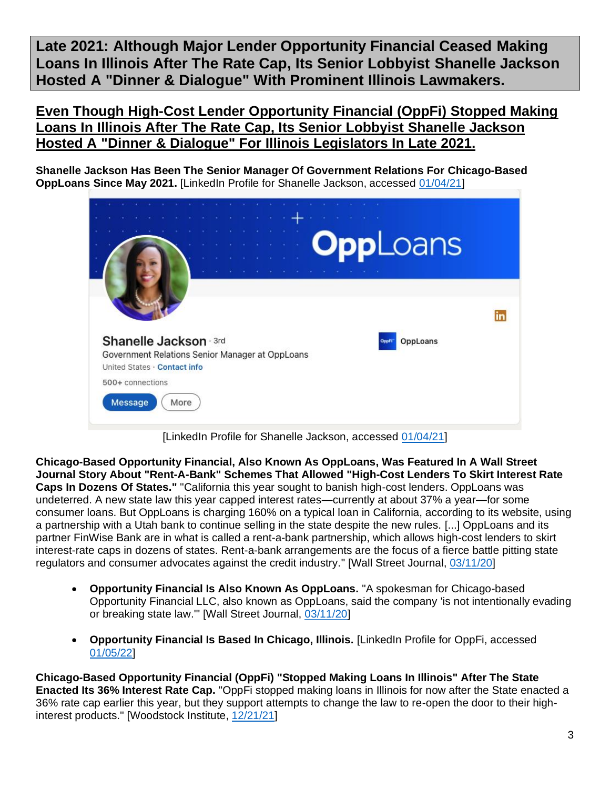**Late 2021: Although Major Lender Opportunity Financial Ceased Making Loans In Illinois After The Rate Cap, Its Senior Lobbyist Shanelle Jackson Hosted A "Dinner & Dialogue" With Prominent Illinois Lawmakers.**

**Even Though High-Cost Lender Opportunity Financial (OppFi) Stopped Making Loans In Illinois After The Rate Cap, Its Senior Lobbyist Shanelle Jackson Hosted A "Dinner & Dialogue" For Illinois Legislators In Late 2021.**

**Shanelle Jackson Has Been The Senior Manager Of Government Relations For Chicago-Based OppLoans Since May 2021.** [LinkedIn Profile for Shanelle Jackson, accessed [01/04/21\]](https://www.linkedin.com/in/shanelle-jackson-leadership/)



[LinkedIn Profile for Shanelle Jackson, accessed [01/04/21\]](https://www.linkedin.com/in/shanelle-jackson-leadership/)

**Chicago-Based Opportunity Financial, Also Known As OppLoans, Was Featured In A Wall Street Journal Story About "Rent-A-Bank" Schemes That Allowed "High-Cost Lenders To Skirt Interest Rate Caps In Dozens Of States."** "California this year sought to banish high-cost lenders. OppLoans was undeterred. A new state law this year capped interest rates—currently at about 37% a year—for some consumer loans. But OppLoans is charging 160% on a typical loan in California, according to its website, using a partnership with a Utah bank to continue selling in the state despite the new rules. [...] OppLoans and its partner FinWise Bank are in what is called a rent-a-bank partnership, which allows high-cost lenders to skirt interest-rate caps in dozens of states. Rent-a-bank arrangements are the focus of a fierce battle pitting state regulators and consumer advocates against the credit industry." [Wall Street Journal, [03/11/20\]](https://www.wsj.com/articles/rent-a-banks-defy-states-growing-efforts-to-curb-high-cost-lending-11583435510)

- **Opportunity Financial Is Also Known As OppLoans.** "A spokesman for Chicago-based Opportunity Financial LLC, also known as OppLoans, said the company 'is not intentionally evading or breaking state law.'" [Wall Street Journal, [03/11/20\]](https://www.wsj.com/articles/rent-a-banks-defy-states-growing-efforts-to-curb-high-cost-lending-11583435510)
- **Opportunity Financial Is Based In Chicago, Illinois.** [LinkedIn Profile for OppFi, accessed [01/05/22\]](https://www.linkedin.com/company/oppfi/)

**Chicago-Based Opportunity Financial (OppFi) "Stopped Making Loans In Illinois" After The State Enacted Its 36% Interest Rate Cap.** "OppFi stopped making loans in Illinois for now after the State enacted a 36% rate cap earlier this year, but they support attempts to change the law to re-open the door to their highinterest products." [Woodstock Institute, [12/21/21\]](https://woodstockinst.org/news/press-release/whos-been-naughty-nice-in-2021/?utm_source=rss&utm_medium=rss&utm_campaign=whos-been-naughty-nice-in-2021)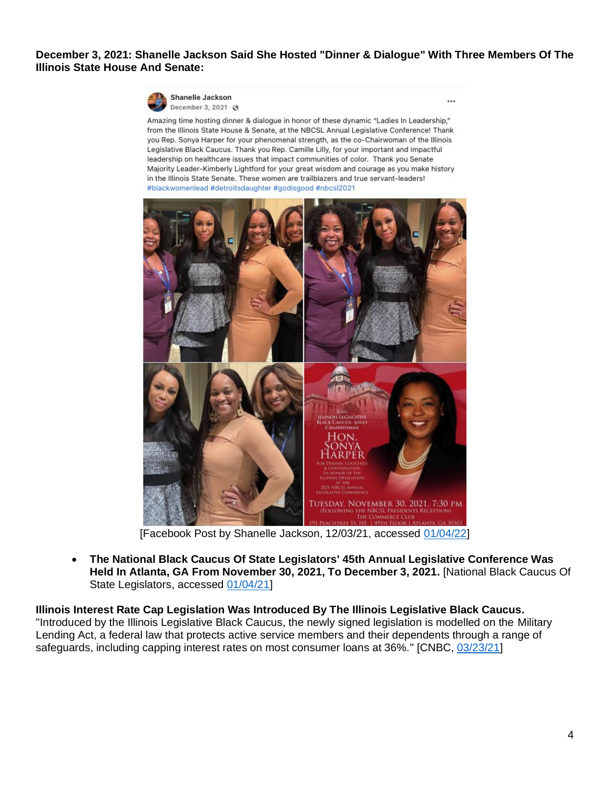### **December 3, 2021: Shanelle Jackson Said She Hosted "Dinner & Dialogue" With Three Members Of The Illinois State House And Senate:**

 $...$ 



Amazing time hosting dinner & dialogue in honor of these dynamic "Ladies In Leadership," from the Illinois State House & Senate, at the NBCSL Annual Legislative Conference! Thank you Rep. Sonya Harper for your phenomenal strength, as the co-Chairwoman of the Illinois Legislative Black Caucus. Thank you Rep. Camille Lilly, for your important and impactful leadership on healthcare issues that impact communities of color. Thank you Senate Majority Leader-Kimberly Lightford for your great wisdom and courage as you make history in the Illinois State Senate. These women are trailblazers and true servant-leaders! #blackwomenlead #detroitsdaughter #godisgood #nbcsl2021



[Facebook Post by Shanelle Jackson, 12/03/21, accessed [01/04/22\]](https://www.facebook.com/shanellejackson/posts/337708891497828?__cft__%5b0%5d=AZXti5ABTHv7u_GVNV4Jq15xGVlZzsLIXQMslcXpTe2kAyCmUyC7TxXxSLLEvOTV2raDKgqkNG-uTMF2xj_zSFSMGnv3j1bf5NRwDMgW6yfJg810spLbOuvGBsQP3XwA5GNQaqCWoirrqVcQ6um48D9Y&__tn__=%2CO%2CP-R)

• **The National Black Caucus Of State Legislators' 45th Annual Legislative Conference Was Held In Atlanta, GA From November 30, 2021, To December 3, 2021.** [National Black Caucus Of State Legislators, accessed [01/04/21\]](https://www.nbcsl-alc.org/event/d8150420-57b8-442a-9a21-e99abe467d57/websitePage:e877fe65-9fe6-4af2-84db-6307a6249456?fbclid=IwAR29HIF3cEPvUCXKwrAOGovMdMj1SnJaO8DVDizTKaFn9xyq-zOosnbqR-Q)

**Illinois Interest Rate Cap Legislation Was Introduced By The Illinois Legislative Black Caucus.**  "Introduced by the Illinois Legislative Black Caucus, the newly signed legislation is modelled on the Military Lending Act, a federal law that protects active service members and their dependents through a range of safeguards, including capping interest rates on most consumer loans at 36%." [CNBC, [03/23/21\]](https://www.cnbc.com/2021/03/23/illinois-governor-signs-off-on-law-capping-consumer-loan-rates-at-36percent.html)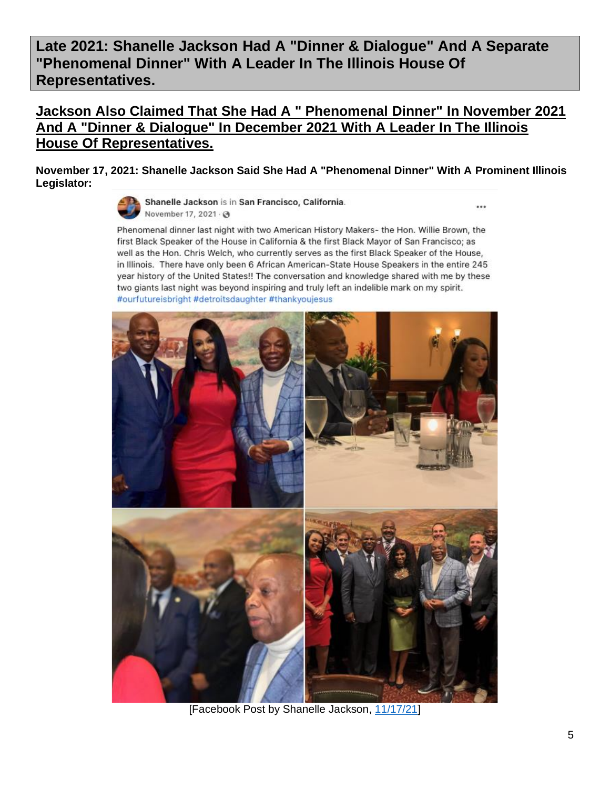**Late 2021: Shanelle Jackson Had A "Dinner & Dialogue" And A Separate "Phenomenal Dinner" With A Leader In The Illinois House Of Representatives.** 

## **Jackson Also Claimed That She Had A " Phenomenal Dinner" In November 2021 And A "Dinner & Dialogue" In December 2021 With A Leader In The Illinois House Of Representatives.**

**November 17, 2021: Shanelle Jackson Said She Had A "Phenomenal Dinner" With A Prominent Illinois Legislator:** 



Shanelle Jackson is in San Francisco, California. November 17, 2021 . @

...

Phenomenal dinner last night with two American History Makers- the Hon. Willie Brown, the first Black Speaker of the House in California & the first Black Mayor of San Francisco; as well as the Hon. Chris Welch, who currently serves as the first Black Speaker of the House, in Illinois. There have only been 6 African American-State House Speakers in the entire 245 year history of the United States!! The conversation and knowledge shared with me by these two giants last night was beyond inspiring and truly left an indelible mark on my spirit. #ourfutureisbright #detroitsdaughter #thankyoujesus



[Facebook Post by Shanelle Jackson, [11/17/21\]](https://www.facebook.com/shanellejackson/posts/327970909138293)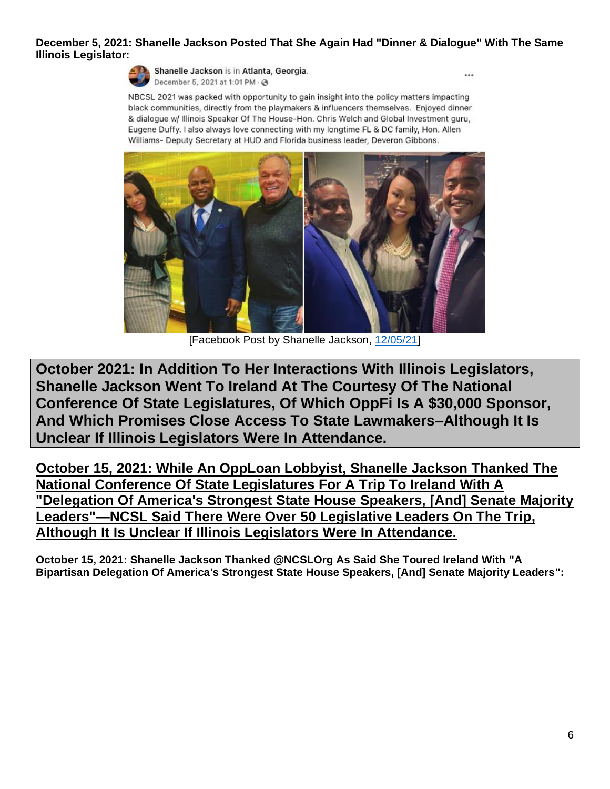### **December 5, 2021: Shanelle Jackson Posted That She Again Had "Dinner & Dialogue" With The Same Illinois Legislator:**



Shanelle Jackson is in Atlanta, Georgia. December 5, 2021 at 1:01 PM · @

 $\cdots$ 

NBCSL 2021 was packed with opportunity to gain insight into the policy matters impacting black communities, directly from the playmakers & influencers themselves. Enjoyed dinner & dialogue w/ Illinois Speaker Of The House-Hon. Chris Welch and Global Investment guru, Eugene Duffy. I also always love connecting with my longtime FL & DC family, Hon. Allen Williams- Deputy Secretary at HUD and Florida business leader, Deveron Gibbons.



[Facebook Post by Shanelle Jackson, [12/05/21\]](https://www.facebook.com/shanellejackson/posts/338604978074886)

**October 2021: In Addition To Her Interactions With Illinois Legislators, Shanelle Jackson Went To Ireland At The Courtesy Of The National Conference Of State Legislatures, Of Which OppFi Is A \$30,000 Sponsor, And Which Promises Close Access To State Lawmakers–Although It Is Unclear If Illinois Legislators Were In Attendance.**

**October 15, 2021: While An OppLoan Lobbyist, Shanelle Jackson Thanked The National Conference Of State Legislatures For A Trip To Ireland With A "Delegation Of America's Strongest State House Speakers, [And] Senate Majority Leaders"—NCSL Said There Were Over 50 Legislative Leaders On The Trip, Although It Is Unclear If Illinois Legislators Were In Attendance.**

**October 15, 2021: Shanelle Jackson Thanked @NCSLOrg As Said She Toured Ireland With "A Bipartisan Delegation Of America's Strongest State House Speakers, [And] Senate Majority Leaders":**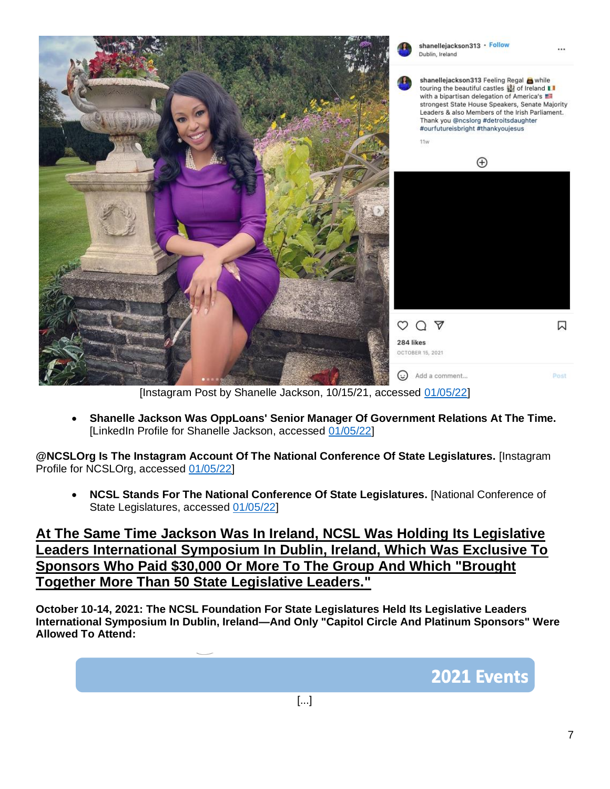

[Instagram Post by Shanelle Jackson, 10/15/21, accessed [01/05/22\]](https://www.instagram.com/p/CVEgaQrgdsc/)

• **Shanelle Jackson Was OppLoans' Senior Manager Of Government Relations At The Time.** [LinkedIn Profile for Shanelle Jackson, accessed [01/05/22\]](https://www.linkedin.com/in/shanelle-jackson-leadership/)

**@NCSLOrg Is The Instagram Account Of The National Conference Of State Legislatures.** [Instagram Profile for NCSLOrg, accessed [01/05/22\]](https://www.instagram.com/ncslorg/)

• **NCSL Stands For The National Conference Of State Legislatures.** [National Conference of State Legislatures, accessed [01/05/22\]](https://www.ncsl.org/)

**At The Same Time Jackson Was In Ireland, NCSL Was Holding Its Legislative Leaders International Symposium In Dublin, Ireland, Which Was Exclusive To Sponsors Who Paid \$30,000 Or More To The Group And Which "Brought Together More Than 50 State Legislative Leaders."**

**October 10-14, 2021: The NCSL Foundation For State Legislatures Held Its Legislative Leaders International Symposium In Dublin, Ireland—And Only "Capitol Circle And Platinum Sponsors" Were Allowed To Attend:**

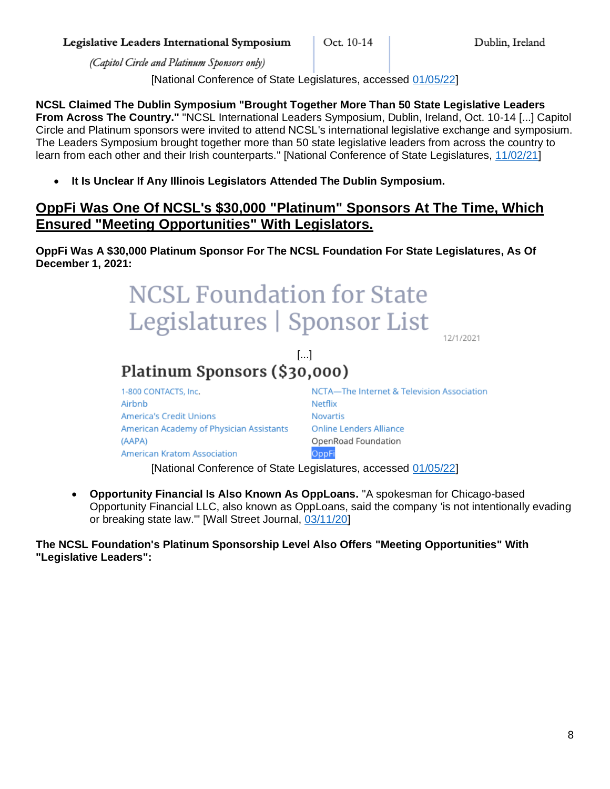Legislative Leaders International Symposium

(Capitol Circle and Platinum Sponsors only)

(AAPA)

American Kratom Association

[National Conference of State Legislatures, accessed [01/05/22\]](https://www.ncsl.org/Portals/1/Documents/Foundation/Foundation_Events_With_NCSL_Webinars_6_17_21.pdf)

**NCSL Claimed The Dublin Symposium "Brought Together More Than 50 State Legislative Leaders From Across The Country."** "NCSL International Leaders Symposium, Dublin, Ireland, Oct. 10-14 [...] Capitol Circle and Platinum sponsors were invited to attend NCSL's international legislative exchange and symposium. The Leaders Symposium brought together more than 50 state legislative leaders from across the country to learn from each other and their Irish counterparts." [National Conference of State Legislatures, [11/02/21\]](https://www.ncsl.org/Documents/2021_Summit_Resources/2021-Summit-Agenda-Book.pdf)

• **It Is Unclear If Any Illinois Legislators Attended The Dublin Symposium.** 

## **OppFi Was One Of NCSL's \$30,000 "Platinum" Sponsors At The Time, Which Ensured "Meeting Opportunities" With Legislators.**

**OppFi Was A \$30,000 Platinum Sponsor For The NCSL Foundation For State Legislatures, As Of December 1, 2021:**

#### **NCSL Foundation for State** Legislatures | Sponsor List 12/1/2021  $\begin{bmatrix} \ldots \end{bmatrix}$ Platinum Sponsors (\$30,000) 1-800 CONTACTS, Inc. NCTA-The Internet & Television Association Airbnb Netfliv **America's Credit Unions Novartis** American Academy of Physician Assistants **Online Lenders Alliance**

[National Conference of State Legislatures, accessed [01/05/22\]](https://www.ncsl.org/aboutus/ncsl-foundation-for-state-legislatures/sponsor-list.aspx)

• **Opportunity Financial Is Also Known As OppLoans.** "A spokesman for Chicago-based Opportunity Financial LLC, also known as OppLoans, said the company 'is not intentionally evading or breaking state law.'" [Wall Street Journal, [03/11/20\]](https://www.wsj.com/articles/rent-a-banks-defy-states-growing-efforts-to-curb-high-cost-lending-11583435510)

OppFi

OpenRoad Foundation

**The NCSL Foundation's Platinum Sponsorship Level Also Offers "Meeting Opportunities" With "Legislative Leaders":**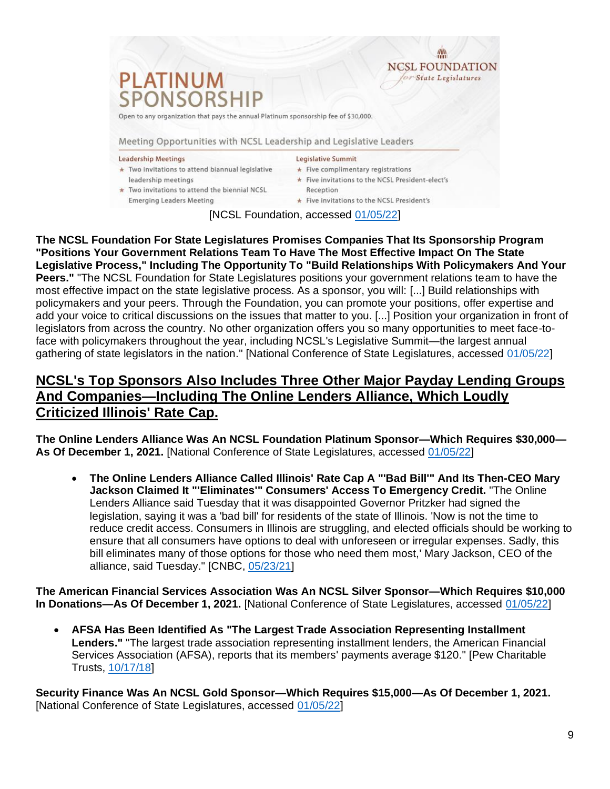

**Emerging Leaders Meeting** 

Five invitations to the NCSL President's

[NCSL Foundation, accessed [01/05/22\]](https://www.ncsl.org/Portals/1/Documents/Foundation/Platinum_Benefits_NCSL_Foundation_30000.pdf)

**The NCSL Foundation For State Legislatures Promises Companies That Its Sponsorship Program "Positions Your Government Relations Team To Have The Most Effective Impact On The State Legislative Process," Including The Opportunity To "Build Relationships With Policymakers And Your Peers."** "The NCSL Foundation for State Legislatures positions your government relations team to have the most effective impact on the state legislative process. As a sponsor, you will: [...] Build relationships with policymakers and your peers. Through the Foundation, you can promote your positions, offer expertise and add your voice to critical discussions on the issues that matter to you. [...] Position your organization in front of legislators from across the country. No other organization offers you so many opportunities to meet face-toface with policymakers throughout the year, including NCSL's Legislative Summit—the largest annual gathering of state legislators in the nation." [National Conference of State Legislatures, accessed [01/05/22\]](https://www.ncsl.org/aboutus/ncsl-foundation-for-state-legislatures/benefits.aspx)

## **NCSL's Top Sponsors Also Includes Three Other Major Payday Lending Groups And Companies—Including The Online Lenders Alliance, Which Loudly Criticized Illinois' Rate Cap.**

**The Online Lenders Alliance Was An NCSL Foundation Platinum Sponsor—Which Requires \$30,000— As Of December 1, 2021.** [National Conference of State Legislatures, accessed [01/05/22\]](https://www.ncsl.org/aboutus/ncsl-foundation-for-state-legislatures/sponsor-list.aspx)

• **The Online Lenders Alliance Called Illinois' Rate Cap A "'Bad Bill'" And Its Then-CEO Mary Jackson Claimed It "'Eliminates'" Consumers' Access To Emergency Credit.** "The Online Lenders Alliance said Tuesday that it was disappointed Governor Pritzker had signed the legislation, saying it was a 'bad bill' for residents of the state of Illinois. 'Now is not the time to reduce credit access. Consumers in Illinois are struggling, and elected officials should be working to ensure that all consumers have options to deal with unforeseen or irregular expenses. Sadly, this bill eliminates many of those options for those who need them most,' Mary Jackson, CEO of the alliance, said Tuesday." [CNBC, [05/23/21\]](https://www.cnbc.com/2021/03/23/illinois-governor-signs-off-on-law-capping-consumer-loan-rates-at-36percent.html)

**The American Financial Services Association Was An NCSL Silver Sponsor—Which Requires \$10,000 In Donations—As Of December 1, 2021.** [National Conference of State Legislatures, accessed [01/05/22\]](https://www.ncsl.org/aboutus/ncsl-foundation-for-state-legislatures/sponsor-list.aspx)

• **AFSA Has Been Identified As "The Largest Trade Association Representing Installment Lenders."** "The largest trade association representing installment lenders, the American Financial Services Association (AFSA), reports that its members' payments average \$120." [Pew Charitable Trusts, [10/17/18\]](https://www.pewtrusts.org/en/research-and-analysis/reports/2018/10/17/state-laws-put-installment-loan-borrowers-at-risk)

**Security Finance Was An NCSL Gold Sponsor—Which Requires \$15,000—As Of December 1, 2021.** [National Conference of State Legislatures, accessed [01/05/22\]](https://www.ncsl.org/aboutus/ncsl-foundation-for-state-legislatures/sponsor-list.aspx)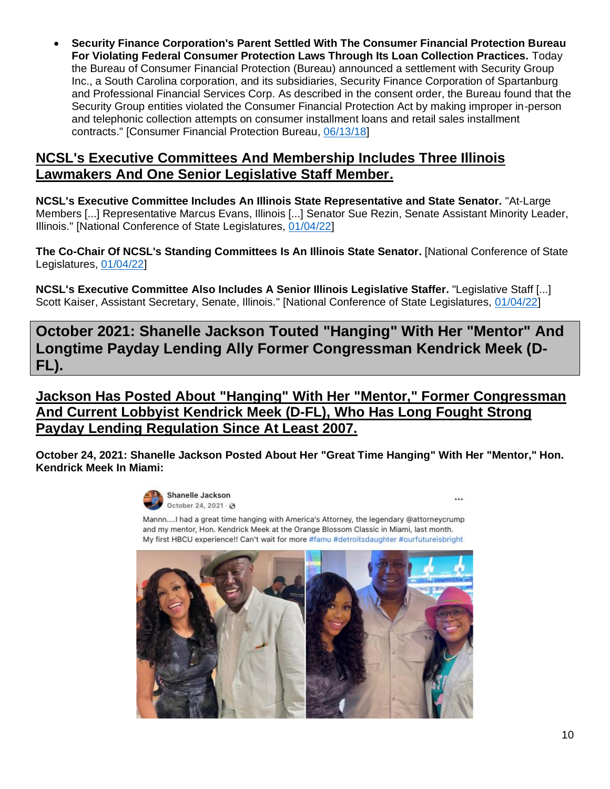• **Security Finance Corporation's Parent Settled With The Consumer Financial Protection Bureau For Violating Federal Consumer Protection Laws Through Its Loan Collection Practices.** Today the Bureau of Consumer Financial Protection (Bureau) announced a settlement with Security Group Inc., a South Carolina corporation, and its subsidiaries, Security Finance Corporation of Spartanburg and Professional Financial Services Corp. As described in the consent order, the Bureau found that the Security Group entities violated the Consumer Financial Protection Act by making improper in-person and telephonic collection attempts on consumer installment loans and retail sales installment contracts." [Consumer Financial Protection Bureau, [06/13/18\]](https://www.consumerfinance.gov/about-us/newsroom/bureau-consumer-financial-protection-settles-security-group-inc/)

## **NCSL's Executive Committees And Membership Includes Three Illinois Lawmakers And One Senior Legislative Staff Member.**

**NCSL's Executive Committee Includes An Illinois State Representative and State Senator.** "At-Large Members [...] Representative Marcus Evans, Illinois [...] Senator Sue Rezin, Senate Assistant Minority Leader, Illinois." [National Conference of State Legislatures, [01/04/22\]](https://www.ncsl.org/aboutus/executive-committee/members.aspx)

**The Co-Chair Of NCSL's Standing Committees Is An Illinois State Senator.** [National Conference of State Legislatures, [01/04/22\]](https://www.ncsl.org/aboutus/executive-committee/members.aspx)

**NCSL's Executive Committee Also Includes A Senior Illinois Legislative Staffer.** "Legislative Staff [...] Scott Kaiser, Assistant Secretary, Senate, Illinois." [National Conference of State Legislatures, [01/04/22\]](https://www.ncsl.org/aboutus/executive-committee/members.aspx)

**October 2021: Shanelle Jackson Touted "Hanging" With Her "Mentor" And Longtime Payday Lending Ally Former Congressman Kendrick Meek (D-FL).**

**Jackson Has Posted About "Hanging" With Her "Mentor," Former Congressman And Current Lobbyist Kendrick Meek (D-FL), Who Has Long Fought Strong Payday Lending Regulation Since At Least 2007.**

**October 24, 2021: Shanelle Jackson Posted About Her "Great Time Hanging" With Her "Mentor," Hon. Kendrick Meek In Miami:**



Mannn....I had a great time hanging with America's Attorney, the legendary @attorneycrump and my mentor, Hon, Kendrick Meek at the Orange Blossom Classic in Miami, last month. My first HBCU experience!! Can't wait for more #famu #detroitsdaughter #ourfutureisbright



 $\ddotsc$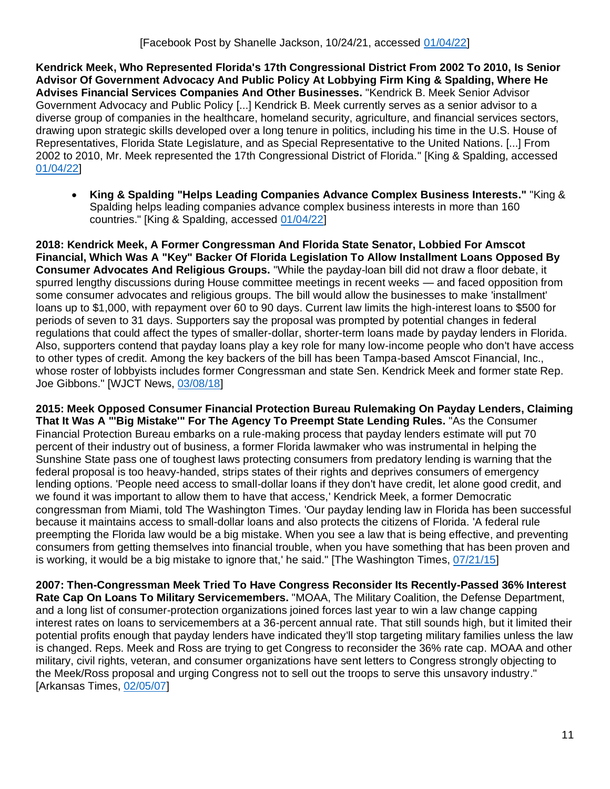**Kendrick Meek, Who Represented Florida's 17th Congressional District From 2002 To 2010, Is Senior Advisor Of Government Advocacy And Public Policy At Lobbying Firm King & Spalding, Where He Advises Financial Services Companies And Other Businesses.** "Kendrick B. Meek Senior Advisor Government Advocacy and Public Policy [...] Kendrick B. Meek currently serves as a senior advisor to a diverse group of companies in the healthcare, homeland security, agriculture, and financial services sectors, drawing upon strategic skills developed over a long tenure in politics, including his time in the U.S. House of Representatives, Florida State Legislature, and as Special Representative to the United Nations. [...] From 2002 to 2010, Mr. Meek represented the 17th Congressional District of Florida." [King & Spalding, accessed [01/04/22\]](https://www.kslaw.com/people/kendrick-meek)

• **King & Spalding "Helps Leading Companies Advance Complex Business Interests."** "King & Spalding helps leading companies advance complex business interests in more than 160 countries." [King & Spalding, accessed [01/04/22\]](https://www.kslaw.com/pages/about)

**2018: Kendrick Meek, A Former Congressman And Florida State Senator, Lobbied For Amscot Financial, Which Was A "Key" Backer Of Florida Legislation To Allow Installment Loans Opposed By Consumer Advocates And Religious Groups.** "While the payday-loan bill did not draw a floor debate, it spurred lengthy discussions during House committee meetings in recent weeks — and faced opposition from some consumer advocates and religious groups. The bill would allow the businesses to make 'installment' loans up to \$1,000, with repayment over 60 to 90 days. Current law limits the high-interest loans to \$500 for periods of seven to 31 days. Supporters say the proposal was prompted by potential changes in federal regulations that could affect the types of smaller-dollar, shorter-term loans made by payday lenders in Florida. Also, supporters contend that payday loans play a key role for many low-income people who don't have access to other types of credit. Among the key backers of the bill has been Tampa-based Amscot Financial, Inc., whose roster of lobbyists includes former Congressman and state Sen. Kendrick Meek and former state Rep. Joe Gibbons." [WJCT News, [03/08/18\]](https://news.wjct.org/state-news/2018-03-08/payday-loan-resign-to-run-revamps-pass-florida-legislature)

**2015: Meek Opposed Consumer Financial Protection Bureau Rulemaking On Payday Lenders, Claiming That It Was A "'Big Mistake'" For The Agency To Preempt State Lending Rules.** "As the Consumer Financial Protection Bureau embarks on a rule-making process that payday lenders estimate will put 70 percent of their industry out of business, a former Florida lawmaker who was instrumental in helping the Sunshine State pass one of toughest laws protecting consumers from predatory lending is warning that the federal proposal is too heavy-handed, strips states of their rights and deprives consumers of emergency lending options. 'People need access to small-dollar loans if they don't have credit, let alone good credit, and we found it was important to allow them to have that access,' Kendrick Meek, a former Democratic congressman from Miami, told The Washington Times. 'Our payday lending law in Florida has been successful because it maintains access to small-dollar loans and also protects the citizens of Florida. 'A federal rule preempting the Florida law would be a big mistake. When you see a law that is being effective, and preventing consumers from getting themselves into financial trouble, when you have something that has been proven and is working, it would be a big mistake to ignore that,' he said." [The Washington Times[, 07/21/15\]](https://www.washingtontimes.com/news/2015/jul/21/florida-fights-payday-loan-government-regulation-p/)

**2007: Then-Congressman Meek Tried To Have Congress Reconsider Its Recently-Passed 36% Interest Rate Cap On Loans To Military Servicemembers.** "MOAA, The Military Coalition, the Defense Department, and a long list of consumer-protection organizations joined forces last year to win a law change capping interest rates on loans to servicemembers at a 36-percent annual rate. That still sounds high, but it limited their potential profits enough that payday lenders have indicated they'll stop targeting military families unless the law is changed. Reps. Meek and Ross are trying to get Congress to reconsider the 36% rate cap. MOAA and other military, civil rights, veteran, and consumer organizations have sent letters to Congress strongly objecting to the Meek/Ross proposal and urging Congress not to sell out the troops to serve this unsavory industry." [Arkansas Times, [02/05/07\]](https://arktimes.com/arkansas-blog/2007/02/05/payday-lenders-pal)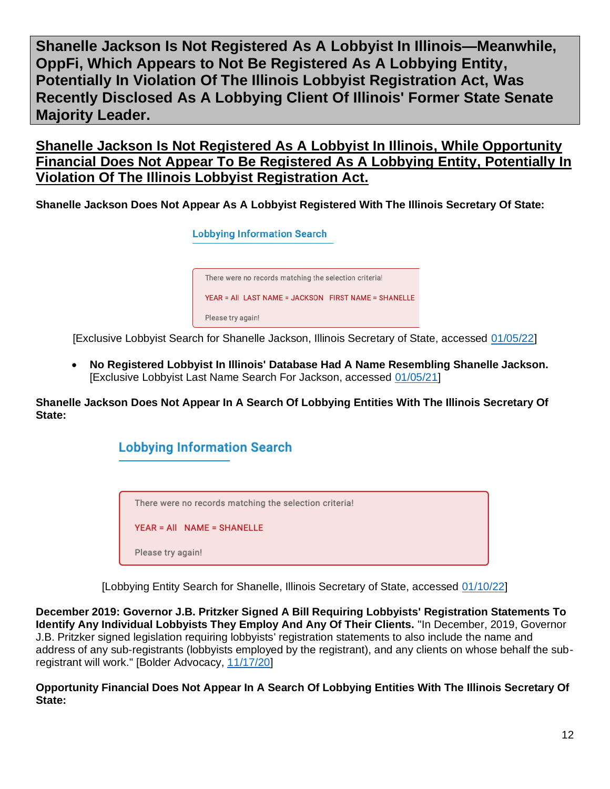**Shanelle Jackson Is Not Registered As A Lobbyist In Illinois—Meanwhile, OppFi, Which Appears to Not Be Registered As A Lobbying Entity, Potentially In Violation Of The Illinois Lobbyist Registration Act, Was Recently Disclosed As A Lobbying Client Of Illinois' Former State Senate Majority Leader.**

**Shanelle Jackson Is Not Registered As A Lobbyist In Illinois, While Opportunity Financial Does Not Appear To Be Registered As A Lobbying Entity, Potentially In Violation Of The Illinois Lobbyist Registration Act.**

**Shanelle Jackson Does Not Appear As A Lobbyist Registered With The Illinois Secretary Of State:**

![](_page_11_Picture_3.jpeg)

[Exclusive Lobbyist Search for Shanelle Jackson, Illinois Secretary of State, accessed [01/05/22\]](https://apps.ilsos.gov/lobbyistsearch/lobbyistsearch)

• **No Registered Lobbyist In Illinois' Database Had A Name Resembling Shanelle Jackson.**  [Exclusive Lobbyist Last Name Search For Jackson, accessed [01/05/21\]](https://apps.ilsos.gov/lobbyistsearch/lobbyistsearch)

**Shanelle Jackson Does Not Appear In A Search Of Lobbying Entities With The Illinois Secretary Of State:**

![](_page_11_Picture_7.jpeg)

[Lobbying Entity Search for Shanelle, Illinois Secretary of State, accessed [01/10/22\]](https://apps.ilsos.gov/lobbyistsearch/lobbyistsearch)

**December 2019: Governor J.B. Pritzker Signed A Bill Requiring Lobbyists' Registration Statements To Identify Any Individual Lobbyists They Employ And Any Of Their Clients.** "In December, 2019, Governor J.B. Pritzker signed legislation requiring lobbyists' registration statements to also include the name and address of any sub-registrants (lobbyists employed by the registrant), and any clients on whose behalf the subregistrant will work." [Bolder Advocacy, [11/17/20\]](https://bolderadvocacy.org/wp-content/uploads/2018/06/Illinois-Lobbying-Disclosure.pdf)

**Opportunity Financial Does Not Appear In A Search Of Lobbying Entities With The Illinois Secretary Of State:**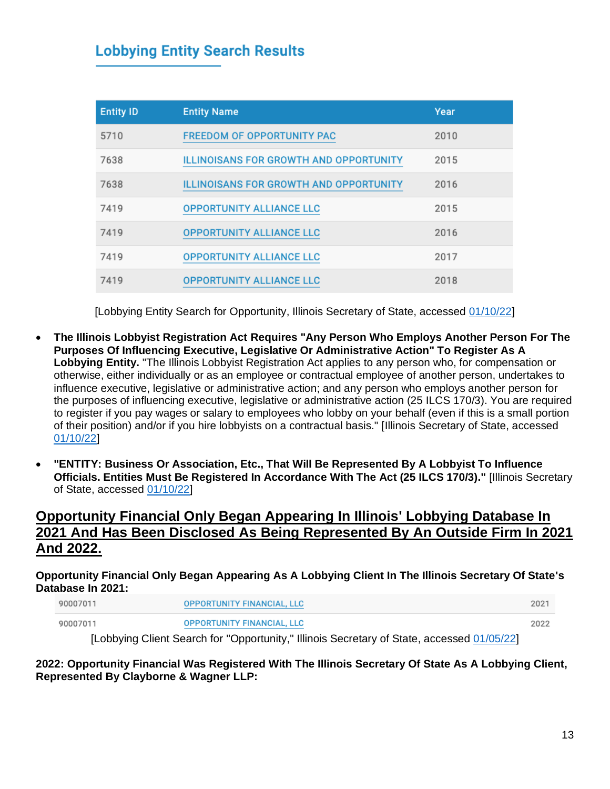## **Lobbying Entity Search Results**

| <b>Entity ID</b> | <b>Entity Name</b>                            | Year |
|------------------|-----------------------------------------------|------|
| 5710             | <b>FREEDOM OF OPPORTUNITY PAC</b>             | 2010 |
| 7638             | <b>ILLINOISANS FOR GROWTH AND OPPORTUNITY</b> | 2015 |
| 7638             | <b>ILLINOISANS FOR GROWTH AND OPPORTUNITY</b> | 2016 |
| 7419             | <b>OPPORTUNITY ALLIANCE LLC</b>               | 2015 |
| 7419             | <b>OPPORTUNITY ALLIANCE LLC</b>               | 2016 |
| 7419             | <b>OPPORTUNITY ALLIANCE LLC</b>               | 2017 |
| 7419             | <b>OPPORTUNITY ALLIANCE LLC</b>               | 2018 |

[Lobbying Entity Search for Opportunity, Illinois Secretary of State, accessed [01/10/22\]](https://apps.ilsos.gov/lobbyistsearch/lobbyistsearch)

- **The Illinois Lobbyist Registration Act Requires "Any Person Who Employs Another Person For The Purposes Of Influencing Executive, Legislative Or Administrative Action" To Register As A Lobbying Entity.** "The Illinois Lobbyist Registration Act applies to any person who, for compensation or otherwise, either individually or as an employee or contractual employee of another person, undertakes to influence executive, legislative or administrative action; and any person who employs another person for the purposes of influencing executive, legislative or administrative action (25 ILCS 170/3). You are required to register if you pay wages or salary to employees who lobby on your behalf (even if this is a small portion of their position) and/or if you hire lobbyists on a contractual basis." [Illinois Secretary of State, accessed [01/10/22\]](https://www.ilsos.gov/publications/pdf_publications/ipub28.pdf)
- **"ENTITY: Business Or Association, Etc., That Will Be Represented By A Lobbyist To Influence Officials. Entities Must Be Registered In Accordance With The Act (25 ILCS 170/3)."** [Illinois Secretary of State, accessed [01/10/22\]](https://www.ilsos.gov/publications/pdf_publications/ipub28.pdf)

## **Opportunity Financial Only Began Appearing In Illinois' Lobbying Database In 2021 And Has Been Disclosed As Being Represented By An Outside Firm In 2021 And 2022.**

### **Opportunity Financial Only Began Appearing As A Lobbying Client In The Illinois Secretary Of State's Database In 2021:**

| 90007011 | <b>OPPORTUNITY FINANCIAL, LLC</b> | 202  |
|----------|-----------------------------------|------|
| 90007011 | OPPORTUNITY FINANCIAL, LLC        | 2022 |

[Lobbying Client Search for "Opportunity," Illinois Secretary of State, accessed [01/05/22\]](https://apps.ilsos.gov/lobbyistsearch/lobbyistsearch)

### **2022: Opportunity Financial Was Registered With The Illinois Secretary Of State As A Lobbying Client, Represented By Clayborne & Wagner LLP:**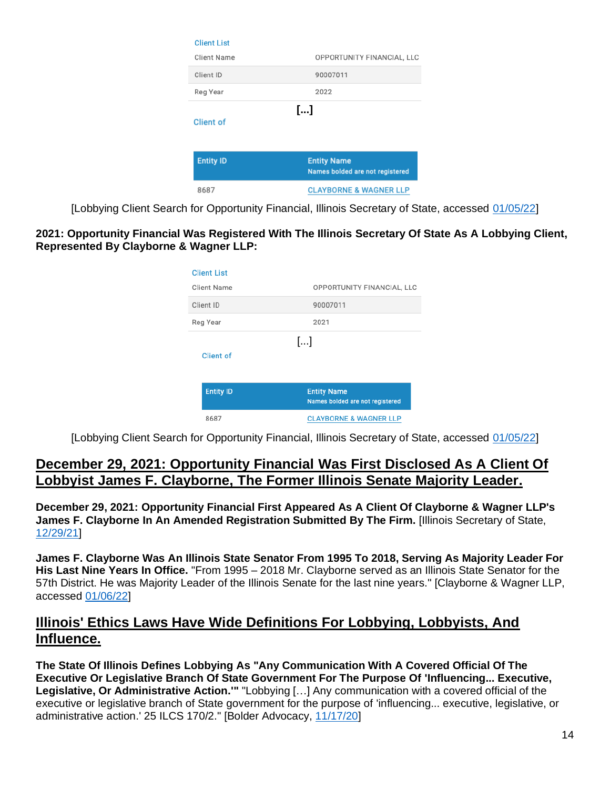| <b>Client List</b> |                                                       |
|--------------------|-------------------------------------------------------|
| <b>Client Name</b> | OPPORTUNITY FINANCIAL, LLC                            |
| Client ID          | 90007011                                              |
| Reg Year           | 2022                                                  |
| Client of          | []                                                    |
| <b>Entity ID</b>   | <b>Entity Name</b><br>Names bolded are not registered |
| 8687               | <b>CLAYBORNE &amp; WAGNER LLP</b>                     |

[Lobbying Client Search for Opportunity Financial, Illinois Secretary of State, accessed [01/05/22\]](https://apps.ilsos.gov/lobbyistsearch/lobbyistsearch)

### **2021: Opportunity Financial Was Registered With The Illinois Secretary Of State As A Lobbying Client, Represented By Clayborne & Wagner LLP:**

| <b>Client List</b>      |                                                       |
|-------------------------|-------------------------------------------------------|
| <b>Client Name</b>      | OPPORTUNITY FINANCIAL, LLC                            |
| Client ID               | 90007011                                              |
| Reg Year                | 2021                                                  |
| […]<br><b>Client</b> of |                                                       |
| <b>Entity ID</b>        | <b>Entity Name</b><br>Names bolded are not registered |
| 8687                    | <b>CLAYBORNE &amp; WAGNER LLP</b>                     |

[Lobbying Client Search for Opportunity Financial, Illinois Secretary of State, accessed [01/05/22\]](https://apps.ilsos.gov/lobbyistsearch/lobbyistsearch)

## **December 29, 2021: Opportunity Financial Was First Disclosed As A Client Of Lobbyist James F. Clayborne, The Former Illinois Senate Majority Leader.**

**December 29, 2021: Opportunity Financial First Appeared As A Client Of Clayborne & Wagner LLP's James F. Clayborne In An Amended Registration Submitted By The Firm.** [Illinois Secretary of State, [12/29/21\]](https://apps.ilsos.gov/lobbyistsearch/registrationpdf?procID=REG&transType=AMENDED&year=2021&entityID=8687&webDataXmlId=92436)

**James F. Clayborne Was An Illinois State Senator From 1995 To 2018, Serving As Majority Leader For His Last Nine Years In Office.** "From 1995 – 2018 Mr. Clayborne served as an Illinois State Senator for the 57th District. He was Majority Leader of the Illinois Senate for the last nine years." [Clayborne & Wagner LLP, accessed [01/06/22\]](https://www.cswlawllp.com/james-f-clayborne-jr/)

## **Illinois' Ethics Laws Have Wide Definitions For Lobbying, Lobbyists, And Influence.**

**The State Of Illinois Defines Lobbying As "Any Communication With A Covered Official Of The Executive Or Legislative Branch Of State Government For The Purpose Of 'Influencing... Executive, Legislative, Or Administrative Action.'"** "Lobbying […] Any communication with a covered official of the executive or legislative branch of State government for the purpose of 'influencing... executive, legislative, or administrative action.' 25 ILCS 170/2." [Bolder Advocacy, [11/17/20\]](https://bolderadvocacy.org/wp-content/uploads/2018/06/Illinois-Lobbying-Disclosure.pdf)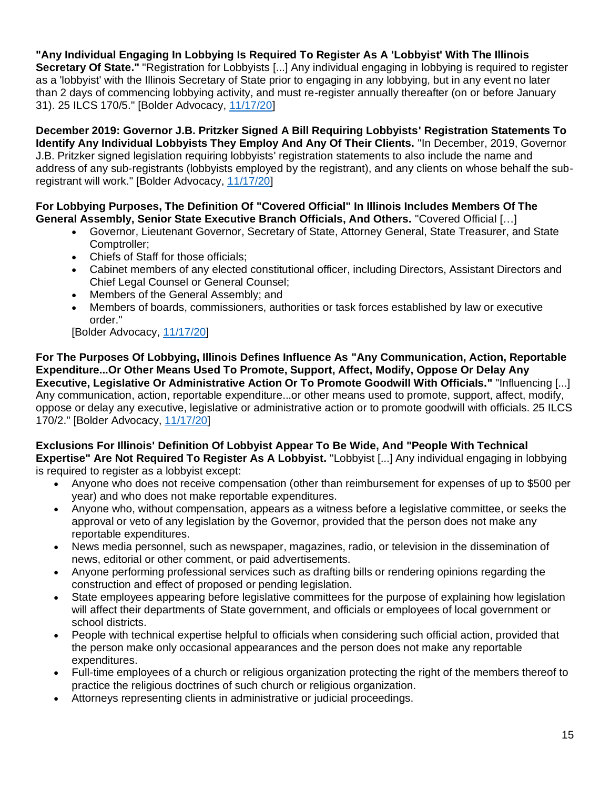**"Any Individual Engaging In Lobbying Is Required To Register As A 'Lobbyist' With The Illinois Secretary Of State."** "Registration for Lobbyists [...] Any individual engaging in lobbying is required to register as a 'lobbyist' with the Illinois Secretary of State prior to engaging in any lobbying, but in any event no later than 2 days of commencing lobbying activity, and must re-register annually thereafter (on or before January 31). 25 ILCS 170/5." [Bolder Advocacy, [11/17/20\]](https://bolderadvocacy.org/wp-content/uploads/2018/06/Illinois-Lobbying-Disclosure.pdf)

**December 2019: Governor J.B. Pritzker Signed A Bill Requiring Lobbyists' Registration Statements To Identify Any Individual Lobbyists They Employ And Any Of Their Clients.** "In December, 2019, Governor J.B. Pritzker signed legislation requiring lobbyists' registration statements to also include the name and address of any sub-registrants (lobbyists employed by the registrant), and any clients on whose behalf the subregistrant will work." [Bolder Advocacy, [11/17/20\]](https://bolderadvocacy.org/wp-content/uploads/2018/06/Illinois-Lobbying-Disclosure.pdf)

**For Lobbying Purposes, The Definition Of "Covered Official" In Illinois Includes Members Of The General Assembly, Senior State Executive Branch Officials, And Others.** "Covered Official […]

- Governor, Lieutenant Governor, Secretary of State, Attorney General, State Treasurer, and State Comptroller;
- Chiefs of Staff for those officials;
- Cabinet members of any elected constitutional officer, including Directors, Assistant Directors and Chief Legal Counsel or General Counsel;
- Members of the General Assembly; and
- Members of boards, commissioners, authorities or task forces established by law or executive order."

[Bolder Advocacy, [11/17/20\]](https://bolderadvocacy.org/wp-content/uploads/2018/06/Illinois-Lobbying-Disclosure.pdf)

**For The Purposes Of Lobbying, Illinois Defines Influence As "Any Communication, Action, Reportable Expenditure...Or Other Means Used To Promote, Support, Affect, Modify, Oppose Or Delay Any Executive, Legislative Or Administrative Action Or To Promote Goodwill With Officials."** "Influencing [...] Any communication, action, reportable expenditure...or other means used to promote, support, affect, modify, oppose or delay any executive, legislative or administrative action or to promote goodwill with officials. 25 ILCS 170/2." [Bolder Advocacy, [11/17/20\]](https://bolderadvocacy.org/wp-content/uploads/2018/06/Illinois-Lobbying-Disclosure.pdf)

### **Exclusions For Illinois' Definition Of Lobbyist Appear To Be Wide, And "People With Technical Expertise" Are Not Required To Register As A Lobbyist.** "Lobbyist [...] Any individual engaging in lobbying is required to register as a lobbyist except:

- Anyone who does not receive compensation (other than reimbursement for expenses of up to \$500 per year) and who does not make reportable expenditures.
- Anyone who, without compensation, appears as a witness before a legislative committee, or seeks the approval or veto of any legislation by the Governor, provided that the person does not make any reportable expenditures.
- News media personnel, such as newspaper, magazines, radio, or television in the dissemination of news, editorial or other comment, or paid advertisements.
- Anyone performing professional services such as drafting bills or rendering opinions regarding the construction and effect of proposed or pending legislation.
- State employees appearing before legislative committees for the purpose of explaining how legislation will affect their departments of State government, and officials or employees of local government or school districts.
- People with technical expertise helpful to officials when considering such official action, provided that the person make only occasional appearances and the person does not make any reportable expenditures.
- Full-time employees of a church or religious organization protecting the right of the members thereof to practice the religious doctrines of such church or religious organization.
- Attorneys representing clients in administrative or judicial proceedings.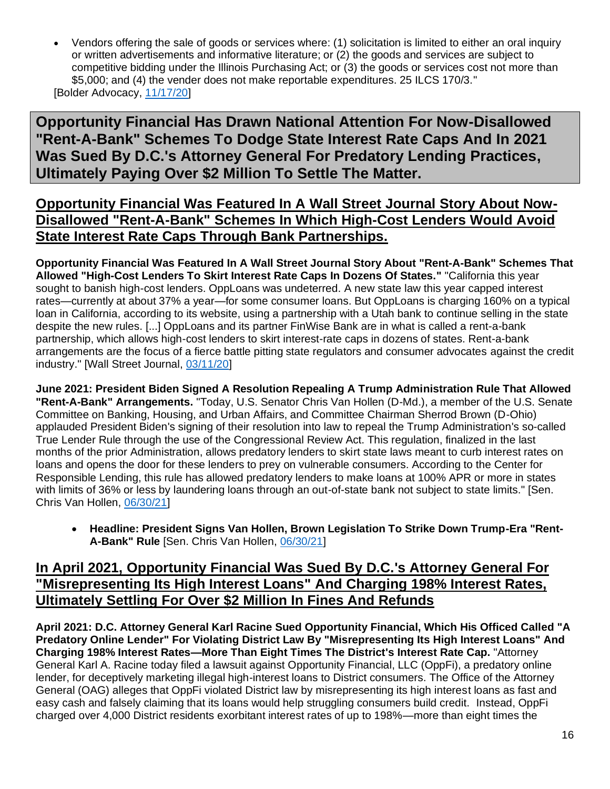• Vendors offering the sale of goods or services where: (1) solicitation is limited to either an oral inquiry or written advertisements and informative literature; or (2) the goods and services are subject to competitive bidding under the Illinois Purchasing Act; or (3) the goods or services cost not more than \$5,000; and (4) the vender does not make reportable expenditures. 25 ILCS 170/3." [Bolder Advocacy, [11/17/20\]](https://bolderadvocacy.org/wp-content/uploads/2018/06/Illinois-Lobbying-Disclosure.pdf)

**Opportunity Financial Has Drawn National Attention For Now-Disallowed "Rent-A-Bank" Schemes To Dodge State Interest Rate Caps And In 2021 Was Sued By D.C.'s Attorney General For Predatory Lending Practices, Ultimately Paying Over \$2 Million To Settle The Matter.**

## **Opportunity Financial Was Featured In A Wall Street Journal Story About Now-Disallowed "Rent-A-Bank" Schemes In Which High-Cost Lenders Would Avoid State Interest Rate Caps Through Bank Partnerships.**

**Opportunity Financial Was Featured In A Wall Street Journal Story About "Rent-A-Bank" Schemes That Allowed "High-Cost Lenders To Skirt Interest Rate Caps In Dozens Of States."** "California this year sought to banish high-cost lenders. OppLoans was undeterred. A new state law this year capped interest rates—currently at about 37% a year—for some consumer loans. But OppLoans is charging 160% on a typical loan in California, according to its website, using a partnership with a Utah bank to continue selling in the state despite the new rules. [...] OppLoans and its partner FinWise Bank are in what is called a rent-a-bank partnership, which allows high-cost lenders to skirt interest-rate caps in dozens of states. Rent-a-bank arrangements are the focus of a fierce battle pitting state regulators and consumer advocates against the credit industry." [Wall Street Journal, [03/11/20\]](https://www.wsj.com/articles/rent-a-banks-defy-states-growing-efforts-to-curb-high-cost-lending-11583435510)

**June 2021: President Biden Signed A Resolution Repealing A Trump Administration Rule That Allowed "Rent-A-Bank" Arrangements.** "Today, U.S. Senator Chris Van Hollen (D-Md.), a member of the U.S. Senate Committee on Banking, Housing, and Urban Affairs, and Committee Chairman Sherrod Brown (D-Ohio) applauded President Biden's signing of their resolution into law to repeal the Trump Administration's so-called True Lender Rule through the use of the Congressional Review Act. This regulation, finalized in the last months of the prior Administration, allows predatory lenders to skirt state laws meant to curb interest rates on loans and opens the door for these lenders to prey on vulnerable consumers. According to the Center for Responsible Lending, this rule has allowed predatory lenders to make loans at 100% APR or more in states with limits of 36% or less by laundering loans through an out-of-state bank not subject to state limits." [Sen. Chris Van Hollen, [06/30/21\]](https://www.vanhollen.senate.gov/news/press-releases/president-signs-van-hollen-brown-legislation-to-strike-down-trump-era-rent-a-bank-rule)

• **Headline: President Signs Van Hollen, Brown Legislation To Strike Down Trump-Era "Rent-A-Bank" Rule** [Sen. Chris Van Hollen, [06/30/21\]](https://www.vanhollen.senate.gov/news/press-releases/president-signs-van-hollen-brown-legislation-to-strike-down-trump-era-rent-a-bank-rule)

## **In April 2021, Opportunity Financial Was Sued By D.C.'s Attorney General For "Misrepresenting Its High Interest Loans" And Charging 198% Interest Rates, Ultimately Settling For Over \$2 Million In Fines And Refunds**

**April 2021: D.C. Attorney General Karl Racine Sued Opportunity Financial, Which His Officed Called "A Predatory Online Lender" For Violating District Law By "Misrepresenting Its High Interest Loans" And Charging 198% Interest Rates—More Than Eight Times The District's Interest Rate Cap.** "Attorney General Karl A. Racine today filed a lawsuit against Opportunity Financial, LLC (OppFi), a predatory online lender, for deceptively marketing illegal high-interest loans to District consumers. The Office of the Attorney General (OAG) alleges that OppFi violated District law by misrepresenting its high interest loans as fast and easy cash and falsely claiming that its loans would help struggling consumers build credit. Instead, OppFi charged over 4,000 District residents exorbitant interest rates of up to 198%—more than eight times the